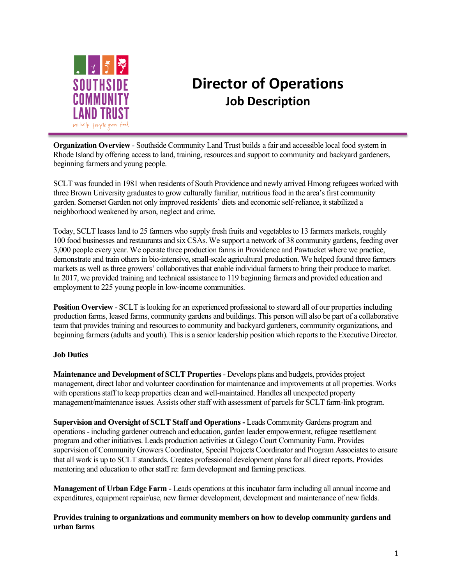

## **Director of Operations Job Description**

**Organization Overview** - Southside Community Land Trust builds a fair and accessible local food system in Rhode Island by offering access to land, training, resources and support to community and backyard gardeners, beginning farmers and young people.

SCLT was founded in 1981 when residents of South Providence and newly arrived Hmong refugees worked with three Brown University graduates to grow culturally familiar, nutritious food in the area's first community garden. Somerset Garden not only improved residents' diets and economic self-reliance, it stabilized a neighborhood weakened by arson, neglect and crime.

Today, SCLT leases land to 25 farmers who supply fresh fruits and vegetables to 13 farmers markets, roughly 100 food businesses and restaurants and six CSAs. We support a network of 38 community gardens, feeding over 3,000 people every year. We operate three production farms in Providence and Pawtucket where we practice, demonstrate and train others in bio-intensive, small-scale agricultural production. We helped found three farmers markets as well as three growers' collaboratives that enable individual farmers to bring their produce to market. In 2017, we provided training and technical assistance to 119 beginning farmers and provided education and employment to 225 young people in low-income communities.

**Position Overview** - SCLT is looking for an experienced professional to steward all of our properties including production farms, leased farms, community gardens and buildings. This person will also be part of a collaborative team that provides training and resources to community and backyard gardeners, community organizations, and beginning farmers (adults and youth). This is a senior leadership position which reports to the Executive Director.

## **Job Duties**

**Maintenance and Development of SCLT Properties** - Develops plans and budgets, provides project management, direct labor and volunteer coordination for maintenance and improvements at all properties. Works with operations staff to keep properties clean and well-maintained. Handles all unexpected property management/maintenance issues. Assists other staff with assessment of parcels for SCLT farm-link program.

**Supervision and Oversight of SCLT Staff and Operations -** Leads Community Gardens program and operations - including gardener outreach and education, garden leader empowerment, refugee resettlement program and other initiatives. Leads production activities at Galego Court Community Farm. Provides supervision of Community Growers Coordinator, Special Projects Coordinator and Program Associates to ensure that all work is up to SCLT standards. Creates professional development plans for all direct reports. Provides mentoring and education to other staff re: farm development and farming practices.

**Management of Urban Edge Farm -** Leads operations at this incubator farm including all annual income and expenditures, equipment repair/use, new farmer development, development and maintenance of new fields.

**Provides training to organizations and community members on how to develop community gardens and urban farms**